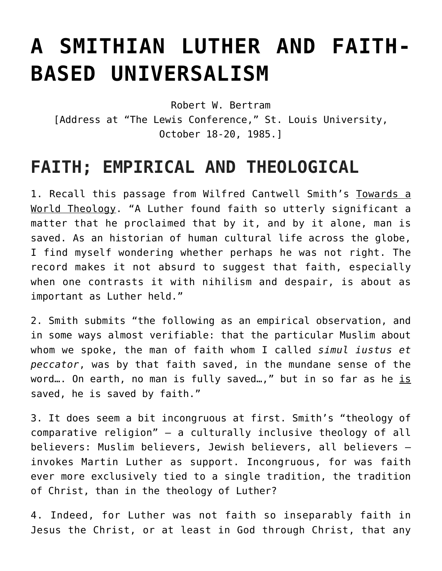# **[A SMITHIAN LUTHER AND FAITH-](https://crossings.org/smithian-luther/)[BASED UNIVERSALISM](https://crossings.org/smithian-luther/)**

Robert W. Bertram

[Address at "The Lewis Conference," St. Louis University, October 18-20, 1985.]

## **FAITH; EMPIRICAL AND THEOLOGICAL**

1. Recall this passage from Wilfred Cantwell Smith's Towards a World Theology. "A Luther found faith so utterly significant a matter that he proclaimed that by it, and by it alone, man is saved. As an historian of human cultural life across the globe, I find myself wondering whether perhaps he was not right. The record makes it not absurd to suggest that faith, especially when one contrasts it with nihilism and despair, is about as important as Luther held."

2. Smith submits "the following as an empirical observation, and in some ways almost verifiable: that the particular Muslim about whom we spoke, the man of faith whom I called *simul iustus et peccator*, was by that faith saved, in the mundane sense of the word... On earth, no man is fully saved...," but in so far as he is saved, he is saved by faith."

3. It does seem a bit incongruous at first. Smith's "theology of comparative religion" — a culturally inclusive theology of all believers: Muslim believers, Jewish believers, all believers invokes Martin Luther as support. Incongruous, for was faith ever more exclusively tied to a single tradition, the tradition of Christ, than in the theology of Luther?

4. Indeed, for Luther was not faith so inseparably faith in Jesus the Christ, or at least in God through Christ, that any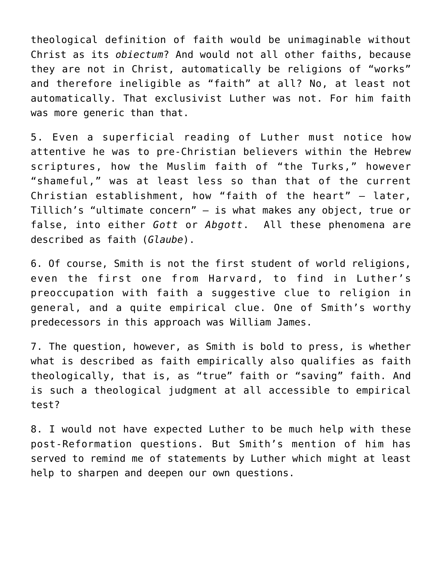theological definition of faith would be unimaginable without Christ as its *obiectum*? And would not all other faiths, because they are not in Christ, automatically be religions of "works" and therefore ineligible as "faith" at all? No, at least not automatically. That exclusivist Luther was not. For him faith was more generic than that.

5. Even a superficial reading of Luther must notice how attentive he was to pre-Christian believers within the Hebrew scriptures, how the Muslim faith of "the Turks," however "shameful," was at least less so than that of the current Christian establishment, how "faith of the heart" – later, Tillich's "ultimate concern" – is what makes any object, true or false, into either *Gott* or *Abgott*. All these phenomena are described as faith (*Glaube*).

6. Of course, Smith is not the first student of world religions, even the first one from Harvard, to find in Luther's preoccupation with faith a suggestive clue to religion in general, and a quite empirical clue. One of Smith's worthy predecessors in this approach was William James.

7. The question, however, as Smith is bold to press, is whether what is described as faith empirically also qualifies as faith theologically, that is, as "true" faith or "saving" faith. And is such a theological judgment at all accessible to empirical test?

8. I would not have expected Luther to be much help with these post-Reformation questions. But Smith's mention of him has served to remind me of statements by Luther which might at least help to sharpen and deepen our own questions.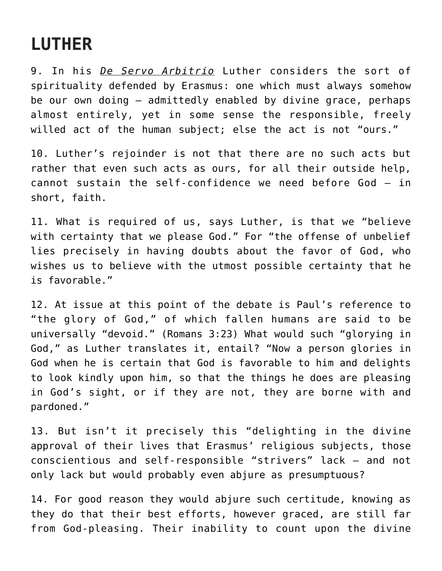# **LUTHER**

9. In his *De Servo Arbitrio* Luther considers the sort of spirituality defended by Erasmus: one which must always somehow be our own doing – admittedly enabled by divine grace, perhaps almost entirely, yet in some sense the responsible, freely willed act of the human subject; else the act is not "ours."

10. Luther's rejoinder is not that there are no such acts but rather that even such acts as ours, for all their outside help, cannot sustain the self-confidence we need before God — in short, faith.

11. What is required of us, says Luther, is that we "believe with certainty that we please God." For "the offense of unbelief lies precisely in having doubts about the favor of God, who wishes us to believe with the utmost possible certainty that he is favorable."

12. At issue at this point of the debate is Paul's reference to "the glory of God," of which fallen humans are said to be universally "devoid." (Romans 3:23) What would such "glorying in God," as Luther translates it, entail? "Now a person glories in God when he is certain that God is favorable to him and delights to look kindly upon him, so that the things he does are pleasing in God's sight, or if they are not, they are borne with and pardoned."

13. But isn't it precisely this "delighting in the divine approval of their lives that Erasmus' religious subjects, those conscientious and self-responsible "strivers" lack – and not only lack but would probably even abjure as presumptuous?

14. For good reason they would abjure such certitude, knowing as they do that their best efforts, however graced, are still far from God-pleasing. Their inability to count upon the divine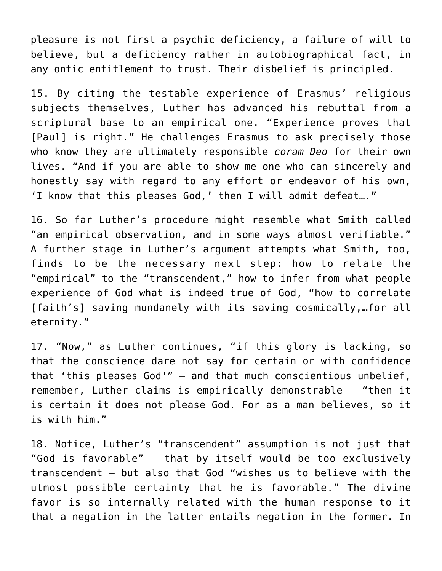pleasure is not first a psychic deficiency, a failure of will to believe, but a deficiency rather in autobiographical fact, in any ontic entitlement to trust. Their disbelief is principled.

15. By citing the testable experience of Erasmus' religious subjects themselves, Luther has advanced his rebuttal from a scriptural base to an empirical one. "Experience proves that [Paul] is right." He challenges Erasmus to ask precisely those who know they are ultimately responsible *coram Deo* for their own lives. "And if you are able to show me one who can sincerely and honestly say with regard to any effort or endeavor of his own, 'I know that this pleases God,' then I will admit defeat…."

16. So far Luther's procedure might resemble what Smith called "an empirical observation, and in some ways almost verifiable." A further stage in Luther's argument attempts what Smith, too, finds to be the necessary next step: how to relate the "empirical" to the "transcendent," how to infer from what people experience of God what is indeed true of God, "how to correlate [faith's] saving mundanely with its saving cosmically, ... for all eternity."

17. "Now," as Luther continues, "if this glory is lacking, so that the conscience dare not say for certain or with confidence that 'this pleases God'" – and that much conscientious unbelief, remember, Luther claims is empirically demonstrable – "then it is certain it does not please God. For as a man believes, so it is with him."

18. Notice, Luther's "transcendent" assumption is not just that "God is favorable" – that by itself would be too exclusively transcendent – but also that God "wishes us to believe with the utmost possible certainty that he is favorable." The divine favor is so internally related with the human response to it that a negation in the latter entails negation in the former. In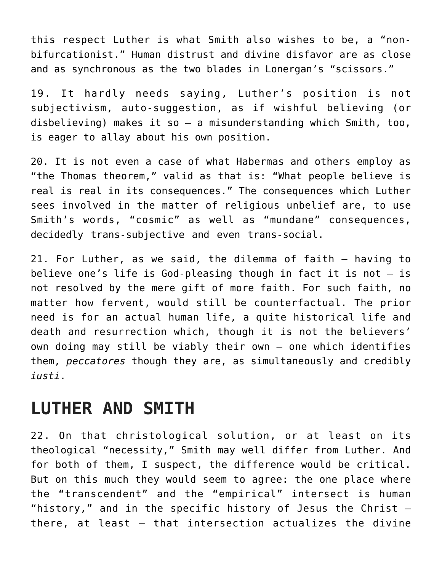this respect Luther is what Smith also wishes to be, a "nonbifurcationist." Human distrust and divine disfavor are as close and as synchronous as the two blades in Lonergan's "scissors."

19. It hardly needs saying, Luther's position is not subjectivism, auto-suggestion, as if wishful believing (or disbelieving) makes it so — a misunderstanding which Smith, too, is eager to allay about his own position.

20. It is not even a case of what Habermas and others employ as "the Thomas theorem," valid as that is: "What people believe is real is real in its consequences." The consequences which Luther sees involved in the matter of religious unbelief are, to use Smith's words, "cosmic" as well as "mundane" consequences, decidedly trans-subjective and even trans-social.

21. For Luther, as we said, the dilemma of faith – having to believe one's life is God-pleasing though in fact it is not — is not resolved by the mere gift of more faith. For such faith, no matter how fervent, would still be counterfactual. The prior need is for an actual human life, a quite historical life and death and resurrection which, though it is not the believers' own doing may still be viably their own — one which identifies them, *peccatores* though they are, as simultaneously and credibly *iusti*.

#### **LUTHER AND SMITH**

22. On that christological solution, or at least on its theological "necessity," Smith may well differ from Luther. And for both of them, I suspect, the difference would be critical. But on this much they would seem to agree: the one place where the "transcendent" and the "empirical" intersect is human "history," and in the specific history of Jesus the Christ  $$ there, at least – that intersection actualizes the divine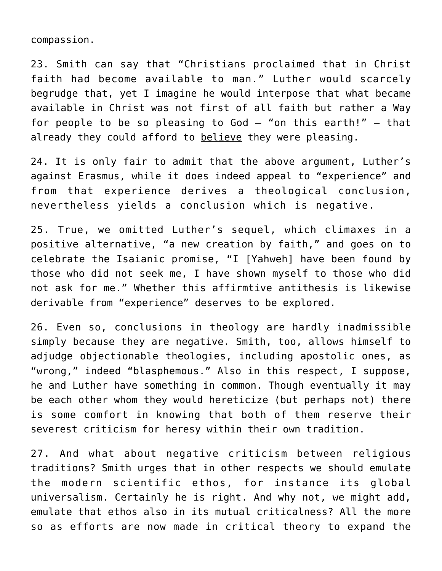compassion.

23. Smith can say that "Christians proclaimed that in Christ faith had become available to man." Luther would scarcely begrudge that, yet I imagine he would interpose that what became available in Christ was not first of all faith but rather a Way for people to be so pleasing to God  $-$  "on this earth!"  $-$  that already they could afford to believe they were pleasing.

24. It is only fair to admit that the above argument, Luther's against Erasmus, while it does indeed appeal to "experience" and from that experience derives a theological conclusion, nevertheless yields a conclusion which is negative.

25. True, we omitted Luther's sequel, which climaxes in a positive alternative, "a new creation by faith," and goes on to celebrate the Isaianic promise, "I [Yahweh] have been found by those who did not seek me, I have shown myself to those who did not ask for me." Whether this affirmtive antithesis is likewise derivable from "experience" deserves to be explored.

26. Even so, conclusions in theology are hardly inadmissible simply because they are negative. Smith, too, allows himself to adjudge objectionable theologies, including apostolic ones, as "wrong," indeed "blasphemous." Also in this respect, I suppose, he and Luther have something in common. Though eventually it may be each other whom they would hereticize (but perhaps not) there is some comfort in knowing that both of them reserve their severest criticism for heresy within their own tradition.

27. And what about negative criticism between religious traditions? Smith urges that in other respects we should emulate the modern scientific ethos, for instance its global universalism. Certainly he is right. And why not, we might add, emulate that ethos also in its mutual criticalness? All the more so as efforts are now made in critical theory to expand the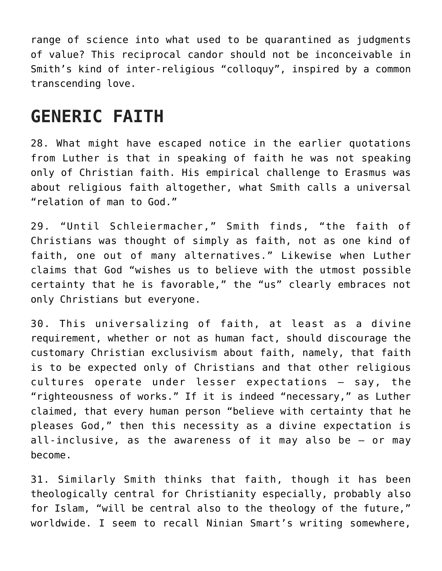range of science into what used to be quarantined as judgments of value? This reciprocal candor should not be inconceivable in Smith's kind of inter-religious "colloquy", inspired by a common transcending love.

## **GENERIC FAITH**

28. What might have escaped notice in the earlier quotations from Luther is that in speaking of faith he was not speaking only of Christian faith. His empirical challenge to Erasmus was about religious faith altogether, what Smith calls a universal "relation of man to God."

29. "Until Schleiermacher," Smith finds, "the faith of Christians was thought of simply as faith, not as one kind of faith, one out of many alternatives." Likewise when Luther claims that God "wishes us to believe with the utmost possible certainty that he is favorable," the "us" clearly embraces not only Christians but everyone.

30. This universalizing of faith, at least as a divine requirement, whether or not as human fact, should discourage the customary Christian exclusivism about faith, namely, that faith is to be expected only of Christians and that other religious cultures operate under lesser expectations – say, the "righteousness of works." If it is indeed "necessary," as Luther claimed, that every human person "believe with certainty that he pleases God," then this necessity as a divine expectation is all-inclusive, as the awareness of it may also be – or may become.

31. Similarly Smith thinks that faith, though it has been theologically central for Christianity especially, probably also for Islam, "will be central also to the theology of the future," worldwide. I seem to recall Ninian Smart's writing somewhere,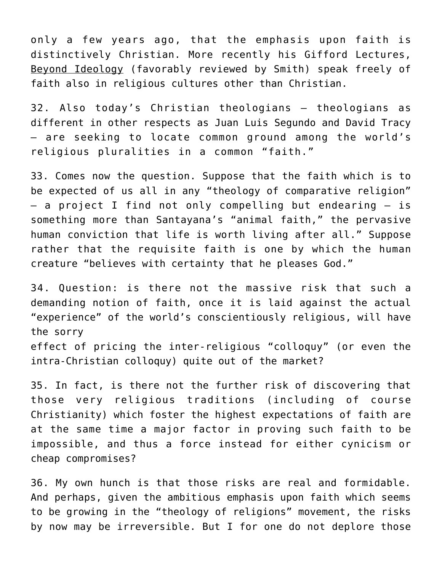only a few years ago, that the emphasis upon faith is distinctively Christian. More recently his Gifford Lectures, Beyond Ideology (favorably reviewed by Smith) speak freely of faith also in religious cultures other than Christian.

32. Also today's Christian theologians – theologians as different in other respects as Juan Luis Segundo and David Tracy – are seeking to locate common ground among the world's religious pluralities in a common "faith."

33. Comes now the question. Suppose that the faith which is to be expected of us all in any "theology of comparative religion" – a project I find not only compelling but endearing – is something more than Santayana's "animal faith," the pervasive human conviction that life is worth living after all." Suppose rather that the requisite faith is one by which the human creature "believes with certainty that he pleases God."

34. Question: is there not the massive risk that such a demanding notion of faith, once it is laid against the actual "experience" of the world's conscientiously religious, will have the sorry effect of pricing the inter-religious "colloquy" (or even the intra-Christian colloquy) quite out of the market?

35. In fact, is there not the further risk of discovering that those very religious traditions (including of course Christianity) which foster the highest expectations of faith are at the same time a major factor in proving such faith to be impossible, and thus a force instead for either cynicism or cheap compromises?

36. My own hunch is that those risks are real and formidable. And perhaps, given the ambitious emphasis upon faith which seems to be growing in the "theology of religions" movement, the risks by now may be irreversible. But I for one do not deplore those